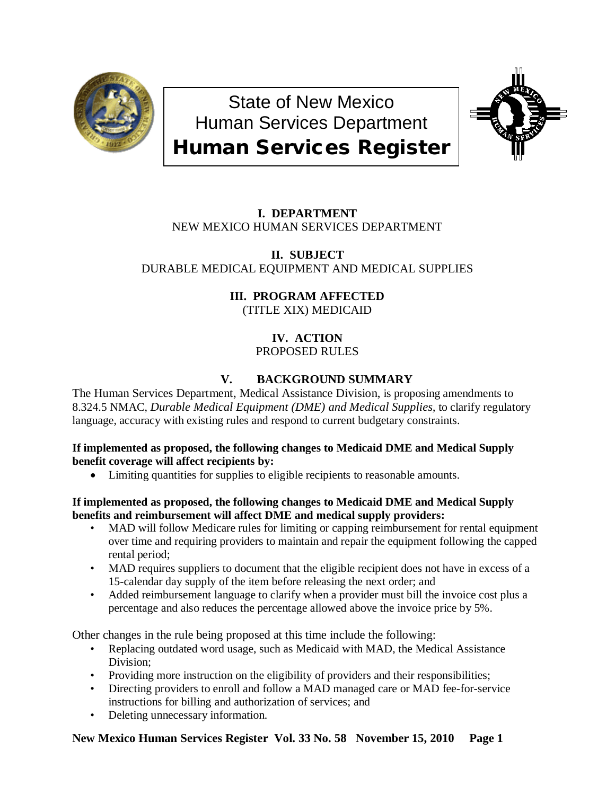

State of New Mexico Human Services Department Human Services Register



# **I. DEPARTMENT** NEW MEXICO HUMAN SERVICES DEPARTMENT

**II. SUBJECT** DURABLE MEDICAL EQUIPMENT AND MEDICAL SUPPLIES

> **III. PROGRAM AFFECTED** (TITLE XIX) MEDICAID

# **IV. ACTION** PROPOSED RULES

# **V. BACKGROUND SUMMARY**

The Human Services Department, Medical Assistance Division, is proposing amendments to 8.324.5 NMAC, *Durable Medical Equipment (DME) and Medical Supplies,* to clarify regulatory language, accuracy with existing rules and respond to current budgetary constraints.

## **If implemented as proposed, the following changes to Medicaid DME and Medical Supply benefit coverage will affect recipients by:**

• Limiting quantities for supplies to eligible recipients to reasonable amounts.

## **If implemented as proposed, the following changes to Medicaid DME and Medical Supply benefits and reimbursement will affect DME and medical supply providers:**

- MAD will follow Medicare rules for limiting or capping reimbursement for rental equipment over time and requiring providers to maintain and repair the equipment following the capped rental period;
- MAD requires suppliers to document that the eligible recipient does not have in excess of a 15-calendar day supply of the item before releasing the next order; and
- Added reimbursement language to clarify when a provider must bill the invoice cost plus a percentage and also reduces the percentage allowed above the invoice price by 5%.

Other changes in the rule being proposed at this time include the following:

- Replacing outdated word usage, such as Medicaid with MAD, the Medical Assistance Division;
- Providing more instruction on the eligibility of providers and their responsibilities;
- Directing providers to enroll and follow a MAD managed care or MAD fee-for-service instructions for billing and authorization of services; and
- Deleting unnecessary information.

# **New Mexico Human Services Register Vol. 33 No. 58 November 15, 2010 Page 1**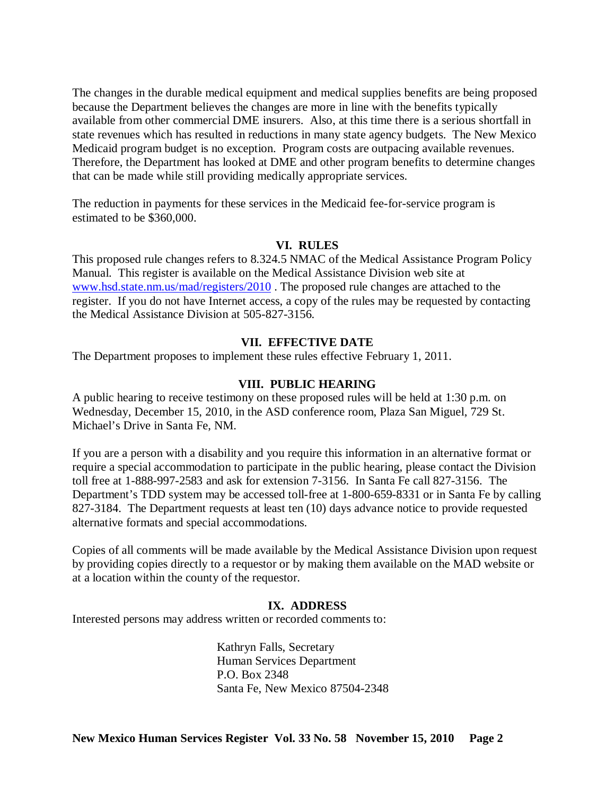The changes in the durable medical equipment and medical supplies benefits are being proposed because the Department believes the changes are more in line with the benefits typically available from other commercial DME insurers. Also, at this time there is a serious shortfall in state revenues which has resulted in reductions in many state agency budgets. The New Mexico Medicaid program budget is no exception. Program costs are outpacing available revenues. Therefore, the Department has looked at DME and other program benefits to determine changes that can be made while still providing medically appropriate services.

The reduction in payments for these services in the Medicaid fee-for-service program is estimated to be \$360,000.

## **VI. RULES**

This proposed rule changes refers to 8.324.5 NMAC of the Medical Assistance Program Policy Manual. This register is available on the Medical Assistance Division web site at [www.hsd.state.nm.us/mad/registers/2010](http://www.hsd.state.nm.us/mad/registers/2010) . The proposed rule changes are attached to the register. If you do not have Internet access, a copy of the rules may be requested by contacting the Medical Assistance Division at 505-827-3156.

## **VII. EFFECTIVE DATE**

The Department proposes to implement these rules effective February 1, 2011.

### **VIII. PUBLIC HEARING**

A public hearing to receive testimony on these proposed rules will be held at 1:30 p.m. on Wednesday, December 15, 2010, in the ASD conference room, Plaza San Miguel, 729 St. Michael's Drive in Santa Fe, NM.

If you are a person with a disability and you require this information in an alternative format or require a special accommodation to participate in the public hearing, please contact the Division toll free at 1-888-997-2583 and ask for extension 7-3156. In Santa Fe call 827-3156. The Department's TDD system may be accessed toll-free at 1-800-659-8331 or in Santa Fe by calling 827-3184. The Department requests at least ten (10) days advance notice to provide requested alternative formats and special accommodations.

Copies of all comments will be made available by the Medical Assistance Division upon request by providing copies directly to a requestor or by making them available on the MAD website or at a location within the county of the requestor.

### **IX. ADDRESS**

Interested persons may address written or recorded comments to:

Kathryn Falls, Secretary Human Services Department P.O. Box 2348 Santa Fe, New Mexico 87504-2348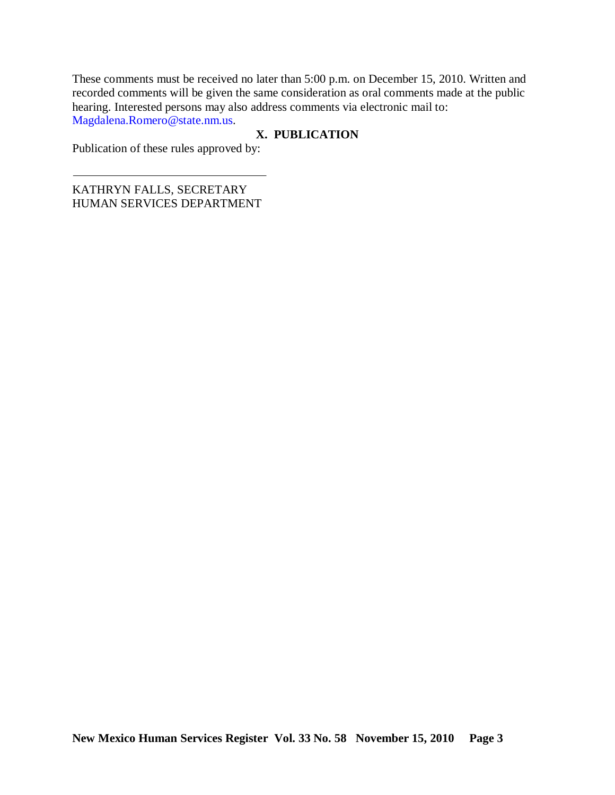These comments must be received no later than 5:00 p.m. on December 15, 2010. Written and recorded comments will be given the same consideration as oral comments made at the public hearing. Interested persons may also address comments via electronic mail to: Magdalena.Romero@state.nm.us.

## **X. PUBLICATION**

Publication of these rules approved by:

KATHRYN FALLS, SECRETARY HUMAN SERVICES DEPARTMENT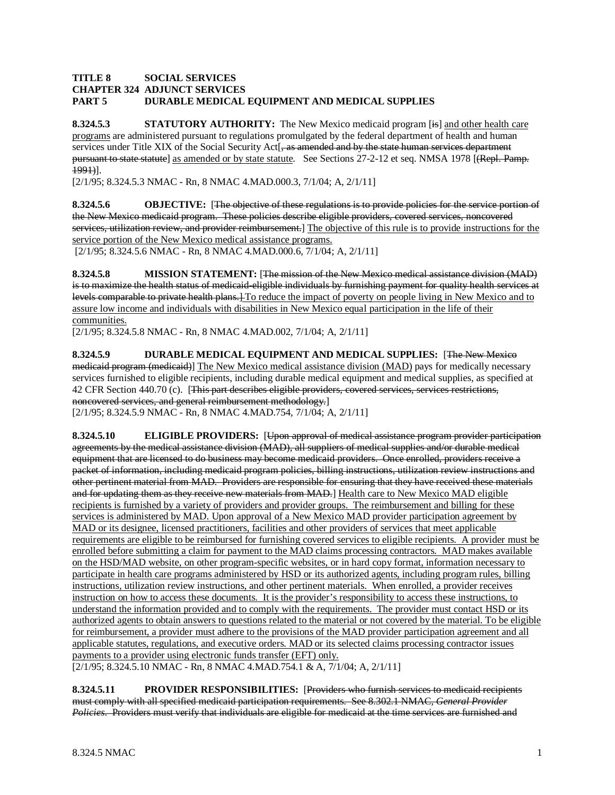#### **TITLE 8 SOCIAL SERVICES CHAPTER 324 ADJUNCT SERVICES PART 5 DURABLE MEDICAL EQUIPMENT AND MEDICAL SUPPLIES**

**8.324.5.3 STATUTORY AUTHORITY:** The New Mexico medicaid program [is] and other health care programs are administered pursuant to regulations promulgated by the federal department of health and human services under Title XIX of the Social Security Act<sup>[</sup>, as amended and by the state human services department pursuant to state statute] as amended or by state statute. See Sections 27-2-12 et seq. NMSA 1978 [(Repl. Pamp. 1991) ].

[2/1/95; 8.324.5.3 NMAC - Rn, 8 NMAC 4.MAD.000.3, 7/1/04; A, 2/1/11]

**8.324.5.6 OBJECTIVE:** [The objective of these regulations is to provide policies for the service portion of the New Mexico medicaid program. These policies describe eligible providers, covered services, noncovered services, utilization review, and provider reimbursement.] The objective of this rule is to provide instructions for the service portion of the New Mexico medical assistance programs.

[2/1/95; 8.324.5.6 NMAC - Rn, 8 NMAC 4.MAD.000.6, 7/1/04; A, 2/1/11]

**8.324.5.8 MISSION STATEMENT:** [The mission of the New Mexico medical assistance division (MAD) is to maximize the health status of medicaid-eligible individuals by furnishing payment for quality health services at levels comparable to private health plans.] To reduce the impact of poverty on people living in New Mexico and to assure low income and individuals with disabilities in New Mexico equal participation in the life of their communities.

[2/1/95; 8.324.5.8 NMAC - Rn, 8 NMAC 4.MAD.002, 7/1/04; A, 2/1/11]

**8.324.5.9 DURABLE MEDICAL EQUIPMENT AND MEDICAL SUPPLIES:** [The New Mexico medicaid program (medicaid)] The New Mexico medical assistance division (MAD) pays for medically necessary services furnished to eligible recipients, including durable medical equipment and medical supplies, as specified at 42 CFR Section 440.70 (c). [This part describes eligible providers, covered services, services restrictions, noncovered services, and general reimbursement methodology. ] [2/1/95; 8.324.5.9 NMAC - Rn, 8 NMAC 4.MAD.754, 7/1/04; A, 2/1/11]

**8.324.5.10 ELIGIBLE PROVIDERS:** [Upon approval of medical assistance program provider participation agreements by the medical assistance division (MAD), all suppliers of medical supplies and/or durable medical equipment that are licensed to do business may become medicaid providers. Once enrolled, providers receive a packet of information, including medicaid program policies, billing instructions, utilization review instructions and other pertinent material from MAD. Providers are responsible for ensuring that they have received these materials and for updating them as they receive new materials from MAD.] Health care to New Mexico MAD eligible recipients is furnished by a variety of providers and provider groups. The reimbursement and billing for these services is administered by MAD. Upon approval of a New Mexico MAD provider participation agreement by MAD or its designee, licensed practitioners, facilities and other providers of services that meet applicable requirements are eligible to be reimbursed for furnishing covered services to eligible recipients. A provider must be

enrolled before submitting a claim for payment to the MAD claims processing contractors. MAD makes available on the HSD/MAD website, on other program-specific websites, or in hard copy format, information necessary to participate in health care programs administered by HSD or its authorized agents, including program rules, billing instructions, utilization review instructions, and other pertinent materials. When enrolled, a provider receives instruction on how to access these documents. It is the provider's responsibility to access these instructions, to understand the information provided and to comply with the requirements. The provider must contact HSD or its authorized agents to obtain answers to questions related to the material or not covered by the material. To be eligible for reimbursement, a provider must adhere to the provisions of the MAD provider participation agreement and all applicable statutes, regulations, and executive orders. MAD or its selected claims processing contractor issues payments to a provider using electronic funds transfer (EFT) only.

[2/1/95; 8.324.5.10 NMAC - Rn, 8 NMAC 4.MAD.754.1 & A, 7/1/04; A, 2/1/11]

**8.324.5.11 PROVIDER RESPONSIBILITIES:** [Providers who furnish services to medicaid recipients must comply with all specified medicaid participation requirements. See 8.302.1 NMAC, *General Provider Policies*. Providers must verify that individuals are eligible for medicaid at the time services are furnished and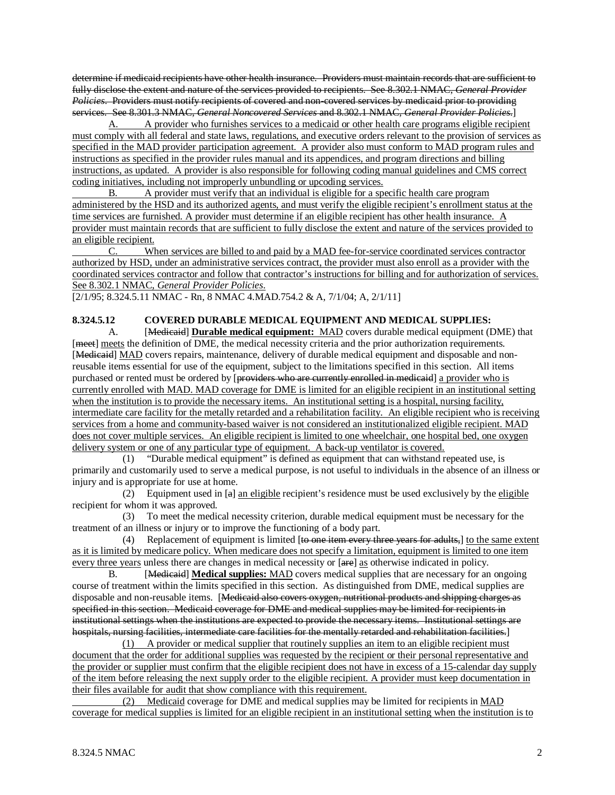determine if medicaid recipients have other health insurance. Providers must maintain records that are sufficient to fully disclose the extent and nature of the services provided to recipients. See 8.302.1 NMAC, *General Provider Policies*. Providers must notify recipients of covered and non-covered services by medicaid prior to providing services. See 8.301.3 NMAC, *General Noncovered Services* and 8.302.1 NMAC, *General Provider Policies*.]

A. A provider who furnishes services to a medicaid or other health care programs eligible recipient must comply with all federal and state laws, regulations, and executive orders relevant to the provision of services as specified in the MAD provider participation agreement. A provider also must conform to MAD program rules and instructions as specified in the provider rules manual and its appendices, and program directions and billing instructions, as updated. A provider is also responsible for following coding manual guidelines and CMS correct coding initiatives, including not improperly unbundling or upcoding services.

B. A provider must verify that an individual is eligible for a specific health care program administered by the HSD and its authorized agents, and must verify the eligible recipient's enrollment status at the time services are furnished. A provider must determine if an eligible recipient has other health insurance. A provider must maintain records that are sufficient to fully disclose the extent and nature of the services provided to an eligible recipient.

C. When services are billed to and paid by a MAD fee-for-service coordinated services contractor authorized by HSD, under an administrative services contract, the provider must also enroll as a provider with the coordinated services contractor and follow that contractor's instructions for billing and for authorization of services. See 8.302.1 NMAC, *General Provider Policies*.

[2/1/95; 8.324.5.11 NMAC - Rn, 8 NMAC 4.MAD.754.2 & A, 7/1/04; A, 2/1/11]

### **8.324.5.12 COVERED DURABLE MEDICAL EQUIPMENT AND MEDICAL SUPPLIES:**

A. [Medicaid] **Durable medical equipment:** MAD covers durable medical equipment (DME) that [meet] meets the definition of DME, the medical necessity criteria and the prior authorization requirements. [Medicaid] MAD covers repairs, maintenance, delivery of durable medical equipment and disposable and nonreusable items essential for use of the equipment, subject to the limitations specified in this section. All items purchased or rented must be ordered by [providers who are currently enrolled in medicaid] a provider who is currently enrolled with MAD. MAD coverage for DME is limited for an eligible recipient in an institutional setting when the institution is to provide the necessary items. An institutional setting is a hospital, nursing facility, intermediate care facility for the metally retarded and a rehabilitation facility. An eligible recipient who is receiving services from a home and community-based waiver is not considered an institutionalized eligible recipient. MAD does not cover multiple services. An eligible recipient is limited to one wheelchair, one hospital bed, one oxygen delivery system or one of any particular type of equipment. A back-up ventilator is covered.

 (1) "Durable medical equipment" is defined as equipment that can withstand repeated use, is primarily and customarily used to serve a medical purpose, is not useful to individuals in the absence of an illness or injury and is appropriate for use at home.

(2) Equipment used in  $[a]$  an eligible recipient's residence must be used exclusively by the eligible recipient for whom it was approved.

 (3) To meet the medical necessity criterion, durable medical equipment must be necessary for the treatment of an illness or injury or to improve the functioning of a body part.

(4) Replacement of equipment is limited [to one item every three years for adults,] to the same extent as it is limited by medicare policy. When medicare does not specify a limitation, equipment is limited to one item every three years unless there are changes in medical necessity or [are] as otherwise indicated in policy.

 $\mathbf{R}$ [Medicaid] Medical supplies: MAD covers medical supplies that are necessary for an ongoing course of treatment within the limits specified in this section. As distinguished from DME, medical supplies are disposable and non-reusable items. [Medicaid also covers oxygen, nutritional products and shipping charges as specified in this section. Medicaid coverage for DME and medical supplies may be limited for recipients in institutional settings when the institutions are expected to provide the necessary items. Institutional settings are hospitals, nursing facilities, intermediate care facilities for the mentally retarded and rehabilitation facilities. ]

(1) A provider or medical supplier that routinely supplies an item to an eligible recipient must document that the order for additional supplies was requested by the recipient or their personal representative and the provider or supplier must confirm that the eligible recipient does not have in excess of a 15-calendar day supply of the item before releasing the next supply order to the eligible recipient. A provider must keep documentation in their files available for audit that show compliance with this requirement.

 (2) Medicaid coverage for DME and medical supplies may be limited for recipients in MAD coverage for medical supplies is limited for an eligible recipient in an institutional setting when the institution is to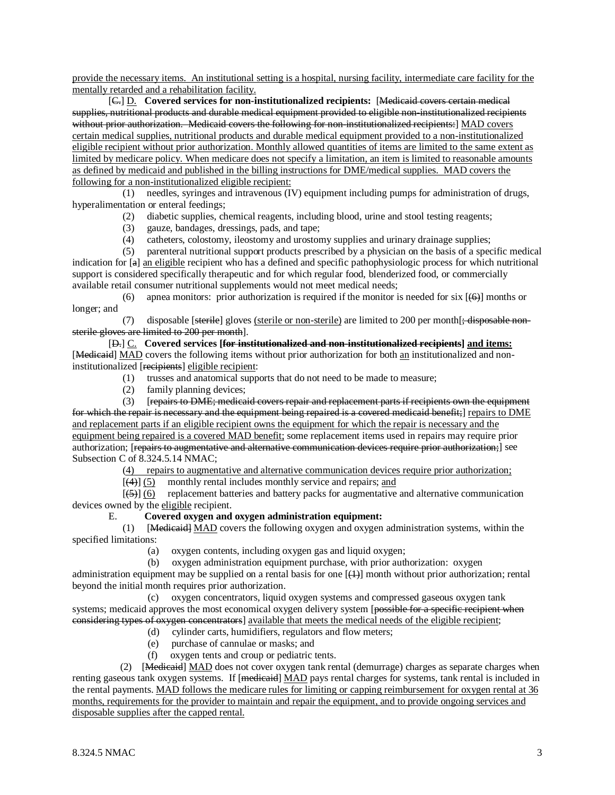provide the necessary items. An institutional setting is a hospital, nursing facility, intermediate care facility for the mentally retarded and a rehabilitation facility.

[C.] D. **Covered services for non-institutionalized recipients:** [Medicaid covers certain medical supplies, nutritional products and durable medical equipment provided to eligible non-institutionalized recipients without prior authorization. Medicaid covers the following for non-institutionalized recipients:] MAD covers certain medical supplies, nutritional products and durable medical equipment provided to a non-institutionalized eligible recipient without prior authorization. Monthly allowed quantities of items are limited to the same extent as limited by medicare policy. When medicare does not specify a limitation, an item is limited to reasonable amounts as defined by medicaid and published in the billing instructions for DME/medical supplies. MAD covers the following for a non-institutionalized eligible recipient:

 (1) needles, syringes and intravenous (IV) equipment including pumps for administration of drugs, hyperalimentation or enteral feedings;

- (2) diabetic supplies, chemical reagents, including blood, urine and stool testing reagents;
- (3) gauze, bandages, dressings, pads, and tape;<br>(4) catheters, colostomy, ileostomy and urostor
- catheters, colostomy, ileostomy and urostomy supplies and urinary drainage supplies;

 (5) parenteral nutritional support products prescribed by a physician on the basis of a specific medical indication for [a] an eligible recipient who has a defined and specific pathophysiologic process for which nutritional support is considered specifically therapeutic and for which regular food, blenderized food, or commercially available retail consumer nutritional supplements would not meet medical needs;

(6) apnea monitors: prior authorization is required if the monitor is needed for six  $[ (46) ]$  months or longer; and

(7) disposable [<del>sterile</del>] gloves <u>(sterile or non-sterile)</u> are limited to 200 per month [<del>; disposable non-</del> sterile gloves are limited to 200 per month ].

[ D.] C. **Covered services [for institutionalized and non-institutionalized recipients] and items:** [Medicaid] MAD covers the following items without prior authorization for both an institutionalized and noninstitutionalized [recipients] eligible recipient:

- (1) trusses and anatomical supports that do not need to be made to measure;
- (2) family planning devices;

 (3) [repairs to DME; medicaid covers repair and replacement parts if recipients own the equipment for which the repair is necessary and the equipment being repaired is a covered medicaid benefit;] repairs to DME and replacement parts if an eligible recipient owns the equipment for which the repair is necessary and the equipment being repaired is a covered MAD benefit; some replacement items used in repairs may require prior authorization; [<del>repairs to augmentative and alternative communication devices require prior authorization;</del>] see Subsection C of 8.324.5.14 NMAC;

 $\overline{\phantom{a}}$ 4) repairs to augmentative and alternative communication devices require prior authorization;

 $\overline{a}$ (4) (5) monthly rental includes monthly service and repairs; and

 $\mathbb{R}^n$  and  $\mathbb{R}^n$  $(5)$ ] (6) replacement batteries and battery packs for augmentative and alternative communication devices owned by the eligible recipient.

#### E. **Covered oxygen and oxygen administration equipment:**

(1) [Medieaid] MAD covers the following oxygen and oxygen administration systems, within the specified limitations:

(a) oxygen contents, including oxygen gas and liquid oxygen;

(b) oxygen administration equipment purchase, with prior authorization: oxygen

administration equipment may be supplied on a rental basis for one  $[(+)]$  month without prior authorization; rental beyond the initial month requires prior authorization.

 (c) oxygen concentrators, liquid oxygen systems and compressed gaseous oxygen tank systems; medicaid approves the most economical oxygen delivery system [possible for a specific recipient when considering types of oxygen concentrators] available that meets the medical needs of the eligible recipient ;

- (d) cylinder carts, humidifiers, regulators and flow meters;
- (e) purchase of cannulae or masks; and
- (f) oxygen tents and croup or pediatric tents.

 (2) [Medicaid] MAD does not cover oxygen tank rental (demurrage) charges as separate charges when renting gaseous tank oxygen systems. If [medicaid] MAD pays rental charges for systems, tank rental is included in the rental payments. MAD follows the medicare rules for limiting or capping reimbursement for oxygen rental at 36 months, requirements for the provider to maintain and repair the equipment, and to provide ongoing services and disposable supplies after the capped rental.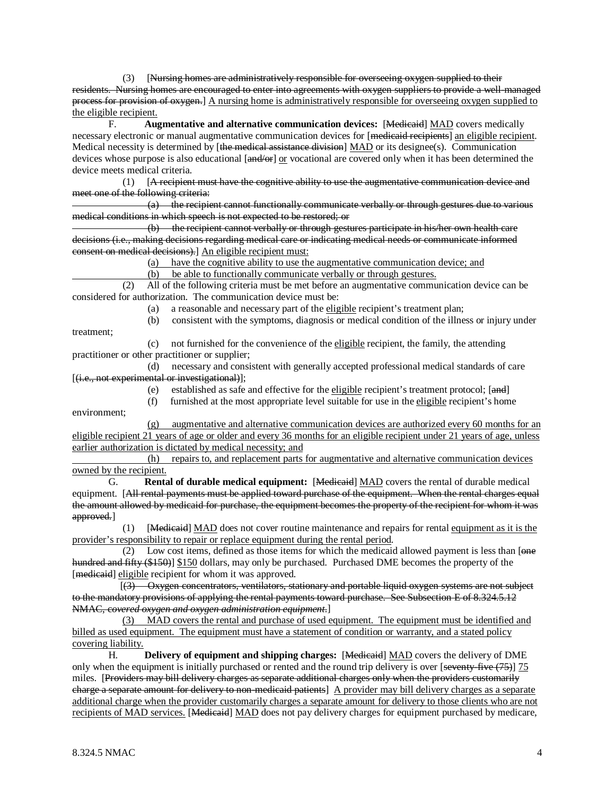(3) [Nursing homes are administratively responsible for overseeing oxygen supplied to their residents. Nursing homes are encouraged to enter into agreements with oxygen suppliers to provide a well-managed process for provision of oxygen.] A nursing home is administratively responsible for overseeing oxygen supplied to the eligible recipient.

F. **Augmentative and alternative communication devices:** [Medieaid] MAD covers medically necessary electronic or manual augmentative communication devices for [medicaid recipients] an eligible recipient. Medical necessity is determined by [the medical assistance division] MAD or its designee(s). Communication devices whose purpose is also educational [and/or] or vocational are covered only when it has been determined the device meets medical criteria.

 $(1)$ [A recipient must have the cognitive ability to use the augmentative communication device and meet one of the following criteria:

 (a) the recipient cannot functionally communicate verbally or through gestures due to various medical conditions in which speech is not expected to be restored; or

 (b) the recipient cannot verbally or through gestures participate in his/her own health care decisions (i.e., making decisions regarding medical care or indicating medical needs or communicate informed consent on medical decisions).] An eligible recipient must:

 $\sim$  ( a) have the cognitive ability to use the augmentative communication device; and

(b) be able to functionally communicate verbally or through gestures.

 (2) All of the following criteria must be met before an augmentative communication device can be considered for authorization. The communication device must be:

(a) a reasonable and necessary part of the eligible recipient's treatment plan;

(b) consistent with the symptoms, diagnosis or medical condition of the illness or injury under

treatment;

(c) not furnished for the convenience of the eligible recipient, the family, the attending practitioner or other practitioner or supplier;

 (d) necessary and consistent with generally accepted professional medical standards of care [ (i.e., not experimental or investigational) ];

(e) established as safe and effective for the <u>eligible</u> recipient's treatment protocol; [and]

(f) furnished at the most appropriate level suitable for use in the eligible recipient's home

environment;

(g) augmentative and alternative communication devices are authorized every 60 months for an eligible recipient 21 years of age or older and every 36 months for an eligible recipient under 21 years of age, unless earlier authorization is dictated by medical necessity; and

 (h) repairs to, and replacement parts for augmentative and alternative communication devices owned by the recipient.

G. **Rental of durable medical equipment:** [ Medicaid] MAD covers the rental of durable medical equipment. [All rental payments must be applied toward purchase of the equipment. When the rental charges equal the amount allowed by medicaid for purchase, the equipment becomes the property of the recipient for whom it was approved.]

(1) [Medicaid] MAD does not cover routine maintenance and repairs for rental equipment as it is the provider's responsibility to repair or replace equipment during the rental period .

 $(2)$  Low cost items, defined as those items for which the medicaid allowed payment is less than [ $\theta$ nee hundred and fifty (\$150)] \$150 dollars, may only be purchased. Purchased DME becomes the property of the [medicaid] eligible recipient for whom it was approved.

 $\overline{a}$  (see Fig. ). The set of  $\overline{a}$ (3) Oxygen concentrators, ventilators, stationary and portable liquid oxygen systems are not subject to the mandatory provisions of applying the rental payments toward purchase. See Subsection E of 8.324.5.12 NMAC, c*overed oxygen and oxygen administration equipment*. ]

(3) MAD covers the rental and purchase of used equipment. The equipment must be identified and billed as used equipment. The equipment must have a statement of condition or warranty, and a stated policy covering liability.

H. **Delivery of equipment and shipping charges:** [ Medicaid] MAD covers the delivery of DME only when the equipment is initially purchased or rented and the round trip delivery is over [seventy-five (75)] 75 miles. [Providers may bill delivery charges as separate additional charges only when the providers customarily charge a separate amount for delivery to non-medicaid patients] A provider may bill delivery charges as a separate additional charge when the provider customarily charges a separate amount for delivery to those clients who are not recipients of MAD services. [Medicaid] MAD does not pay delivery charges for equipment purchased by medicare,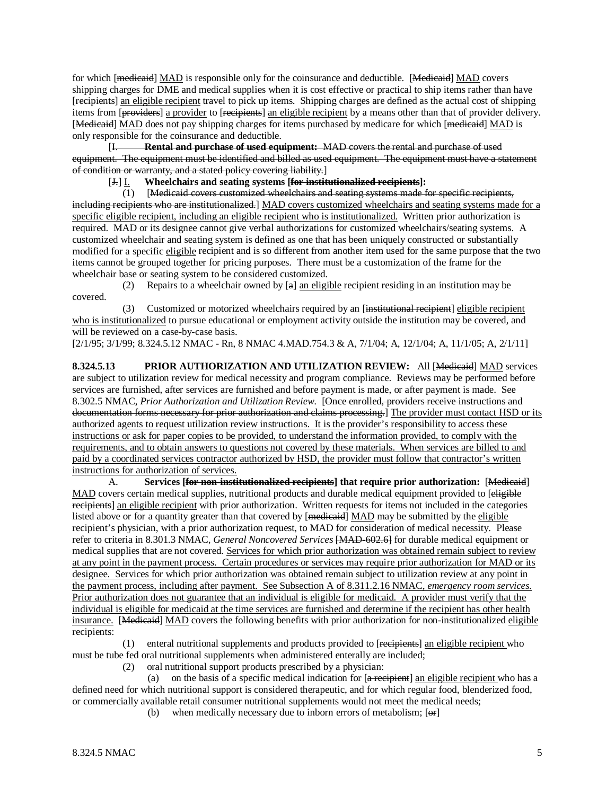for which [medicaid] MAD is responsible only for the coinsurance and deductible. [Medicaid] MAD covers shipping charges for DME and medical supplies when it is cost effective or practical to ship items rather than have [recipients] an eligible recipient travel to pick up items. Shipping charges are defined as the actual cost of shipping items from [providers] a provider to [recipients] an eligible recipient by a means other than that of provider delivery. [Medicaid] MAD does not pay shipping charges for items purchased by medicare for which [medicaid] MAD is only responsible for the coinsurance and deductible.

 $[1 -$ I. **Rental and purchase of used equipment:** MAD covers the rental and purchase of used equipment. The equipment must be identified and billed as used equipment. The equipment must have a statement of condition or warranty, and a stated policy covering liability. ]

[ $\div$ ] <u>I</u>. Wheelchairs and seating systems [for institutionalized recipients]:

 (1) [ Medicaid covers customized wheelchairs and seating systems made for specific recipients, including recipients who are institutionalized.] MAD covers customized wheelchairs and seating systems made for a specific eligible recipient, including an eligible recipient who is institutionalized. Written prior authorization is required. MAD or its designee cannot give verbal authorizations for customized wheelchairs/seating systems. A customized wheelchair and seating system is defined as one that has been uniquely constructed or substantially modified for a specific eligible recipient and is so different from another item used for the same purpose that the two items cannot be grouped together for pricing purposes. There must be a customization of the frame for the wheelchair base or seating system to be considered customized.

(2) Repairs to a wheelchair owned by  $[a]$  an eligible recipient residing in an institution may be covered.

(3) Customized or motorized wheelchairs required by an [institutional recipient] eligible recipient who is institutionalized to pursue educational or employment activity outside the institution may be covered, and will be reviewed on a case-by-case basis.

[2/1/95; 3/1/99; 8.324.5.12 NMAC - Rn, 8 NMAC 4.MAD.754.3 & A, 7/1/04; A, 12/1/04; A, 11/1/05; A, 2/1/11]

**8.324.5.13 PRIOR AUTHORIZATION AND UTILIZATION REVIEW:** All [Medicaid] MAD services are subject to utilization review for medical necessity and program compliance. Reviews may be performed before services are furnished, after services are furnished and before payment is made, or after payment is made. See 8.302.5 NMAC, *Prior Authorization and Utilization Review*. [Once enrolled, providers receive instructions and documentation forms necessary for prior authorization and claims processing.] The provider must contact HSD or its authorized agents to request utilization review instructions. It is the provider's responsibility to access these instructions or ask for paper copies to be provided, to understand the information provided, to comply with the requirements, and to obtain answers to questions not covered by these materials. When services are billed to and paid by a coordinated services contractor authorized by HSD, the provider must follow that contractor's written instructions for authorization of services.

A. **Services [ for non-institutionalized recipients] that require prior authorization:** [Medicaid] MAD covers certain medical supplies, nutritional products and durable medical equipment provided to [eligible] recipients] an eligible recipient with prior authorization. Written requests for items not included in the categories listed above or for a quantity greater than that covered by [medicaid] MAD may be submitted by the eligible recipient's physician, with a prior authorization request, to MAD for consideration of medical necessity. Please refer to criteria in 8.301.3 NMAC, *General Noncovered Services* [MAD-602.6] for durable medical equipment or medical supplies that are not covered. Services for which prior authorization was obtained remain subject to review at any point in the payment process. Certain procedures or services may require prior authorization for MAD or its designee. Services for which prior authorization was obtained remain subject to utilization review at any point in the payment process, including after payment. See Subsection A of 8.311.2.16 NMAC, *emergency room services.*  Prior authorization does not guarantee that an individual is eligible for medicaid. A provider must verify that the individual is eligible for medicaid at the time services are furnished and determine if the recipient has other health insurance. [Medicaid] MAD covers the following benefits with prior authorization for non-institutionalized eligible recipients:

(1) enteral nutritional supplements and products provided to [recipients] an eligible recipient who must be tube fed oral nutritional supplements when administered enterally are included;

(2) oral nutritional support products prescribed by a physician:

(a) on the basis of a specific medical indication for [a recipient] an eligible recipient who has a defined need for which nutritional support is considered therapeutic, and for which regular food, blenderized food, or commercially available retail consumer nutritional supplements would not meet the medical needs;

(b) when medically necessary due to inborn errors of metabolism;  $[**or**]$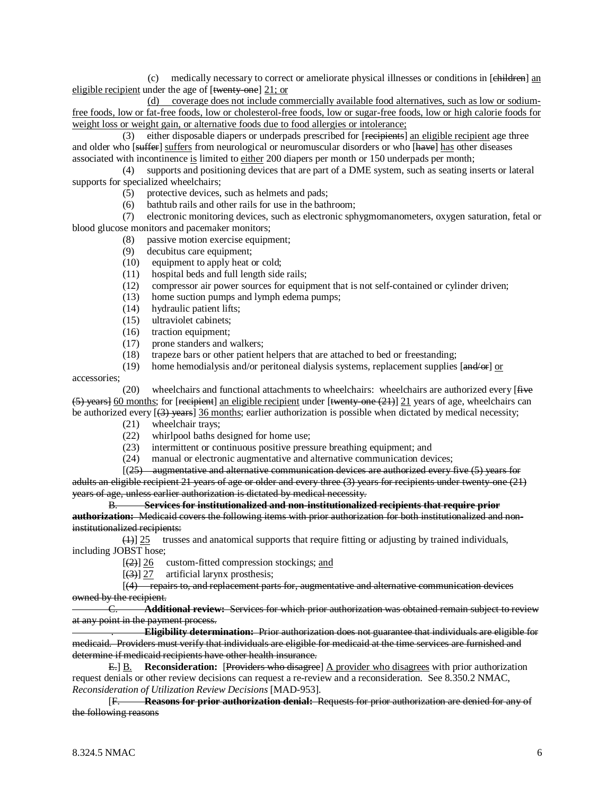(c) medically necessary to correct or ameliorate physical illnesses or conditions in [children] an eligible recipient under the age of [twenty-one] 21; or

(d) coverage does not include commercially available food alternatives, such as low or sodiumfree foods, low or fat-free foods, low or cholesterol-free foods, low or sugar-free foods, low or high calorie foods for weight loss or weight gain, or alternative foods due to food allergies or intolerance;

(3) either disposable diapers or underpads prescribed for [recipients] an eligible recipient age three and older who [suffer] suffers from neurological or neuromuscular disorders or who [have] has other diseases associated with incontinence is limited to either 200 diapers per month or 150 underpads per month;

 (4) supports and positioning devices that are part of a DME system, such as seating inserts or lateral supports for specialized wheelchairs;

- (5) protective devices, such as helmets and pads;
- (6) bathtub rails and other rails for use in the bathroom;

 (7) electronic monitoring devices, such as electronic sphygmomanometers, oxygen saturation, fetal or blood glucose monitors and pacemaker monitors;

- (8) passive motion exercise equipment;
- (9) decubitus care equipment;
- (10) equipment to apply heat or cold;
- (11) hospital beds and full length side rails;
- (12) compressor air power sources for equipment that is not self-contained or cylinder driven;
- (13) home suction pumps and lymph edema pumps;<br>(14) hydraulic patient lifts;
- hydraulic patient lifts;
- (15) ultraviolet cabinets;
- (16) traction equipment;
- (17) prone standers and walkers;
- (18) trapeze bars or other patient helpers that are attached to bed or freestanding;
- (19) home hemodialysis and/or peritoneal dialysis systems, replacement supplies  $\left[\frac{and}{or}\right]$  or

accessories;

 $(20)$  wheelchairs and functional attachments to wheelchairs: wheelchairs are authorized every [ $\ddot{H}$  we  $(5)$  years] 60 months; for [recipient] an eligible recipient under [twenty-one (21)] 21 years of age, wheelchairs can be authorized every [(3) years] 36 months; earlier authorization is possible when dictated by medical necessity;

- (21) wheelchair trays;
- (22) whirlpool baths designed for home use;
- (23) intermittent or continuous positive pressure breathing equipment; and
- (24) manual or electronic augmentative and alternative communication devices;
- [(25) augmentative and alternative communication devices are authorized every five (5) years for adults an eligible recipient 21 years of age or older and every three (3) years for recipients under twenty-one (21)

years of age, unless earlier authorization is dictated by medical necessity.

B. **Services for institutionalized and non-institutionalized recipients that require prior authorization:** Medicaid covers the following items with prior authorization for both institutionalized and noninstitutionalized recipients:

 $(1)$  25 trusses and anatomical supports that require fitting or adjusting by trained individuals, including JOBST hose;

 $\overline{a}$  $(2)$ ] 26 custom-fitted compression stockings; and

 $\overline{a}$ (3)] 27 artificial larynx prosthesis;

 $\overline{a}$ (4) repairs to, and replacement parts for, augmentative and alternative communication devices owned by the recipient.

C. **Additional review:** Services for which prior authorization was obtained remain subject to review at any point in the payment process.

. **Eligibility determination:** Prior authorization does not guarantee that individuals are eligible for medicaid. Providers must verify that individuals are eligible for medicaid at the time services are furnished and determine if medicaid recipients have other health insurance.

E.] B. **Reconsideration:** [Providers who disagree] A provider who disagrees with prior authorization request denials or other review decisions can request a re-review and a reconsideration. See 8.350.2 NMAC, *Reconsideration of Utilization Review Decisions* [MAD-953].

 $[**F**$ F. **Reasons for prior authorization denial:** Requests for prior authorization are denied for any of the following reasons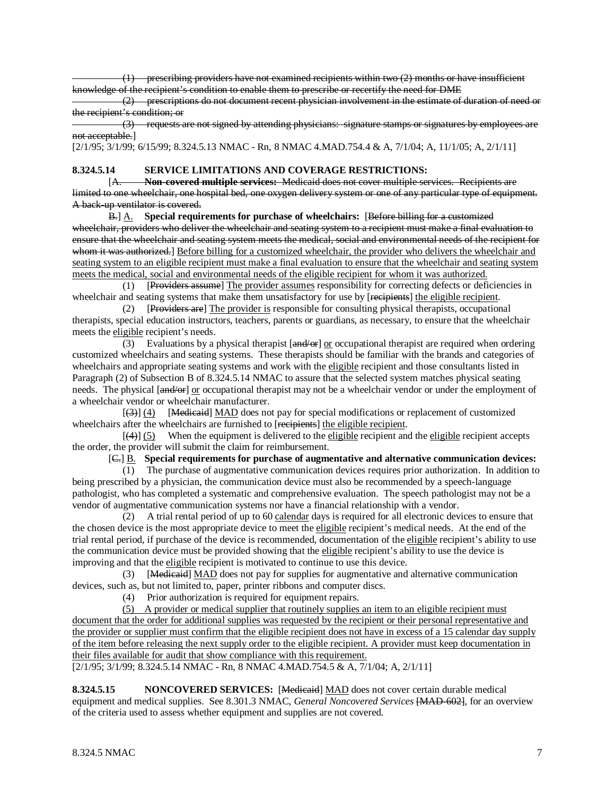(1) prescribing providers have not examined recipients within two (2) months or have insufficient knowledge of the recipient's condition to enable them to prescribe or recertify the need for DME

 $(2)$  prescriptions do not document recent physician involvement in the estimate of duration of need or the recipient's condition; or

 (3) requests are not signed by attending physicians: signature stamps or signatures by employees are not acceptable.]

[2/1/95; 3/1/99; 6/15/99; 8.324.5.13 NMAC - Rn, 8 NMAC 4.MAD.754.4 & A, 7/1/04; A, 11/1/05; A, 2/1/11]

#### **8.324.5.14 SERVICE LIMITATIONS AND COVERAGE RESTRICTIONS:**

[A. **Non-covered multiple services:** Medicaid does not cover multiple services. Recipients are limited to one wheelchair, one hospital bed, one oxygen delivery system or one of any particular type of equipment. A back-up ventilator is covered.

B.] A. **Special requirements for purchase of wheelchairs:** [Before billing for a customized wheelchair, providers who deliver the wheelchair and seating system to a recipient must make a final evaluation to ensure that the wheelchair and seating system meets the medical, social and environmental needs of the recipient for whom it was authorized. Before billing for a customized wheelchair, the provider who delivers the wheelchair and seating system to an eligible recipient must make a final evaluation to ensure that the wheelchair and seating system meets the medical, social and environmental needs of the eligible recipient for whom it was authorized.

(1) [Providers assume] The provider assumes responsibility for correcting defects or deficiencies in wheelchair and seating systems that make them unsatisfactory for use by [recipients] the eligible recipient.

 $(2)$ Providers are] The provider is responsible for consulting physical therapists, occupational therapists, special education instructors, teachers, parents or guardians, as necessary, to ensure that the wheelchair meets the eligible recipient's needs.

(3) Evaluations by a physical therapist  $[and/or]$  or occupational therapist are required when ordering customized wheelchairs and seating systems. These therapists should be familiar with the brands and categories of wheelchairs and appropriate seating systems and work with the eligible recipient and those consultants listed in Paragraph (2) of Subsection B of 8.324.5.14 NMAC to assure that the selected system matches physical seating needs. The physical [and/or] or occupational therapist may not be a wheelchair vendor or under the employment of a wheelchair vendor or wheelchair manufacturer.

 $\mathbb{R}^n$  and  $\mathbb{R}^n$  $\left[\frac{3}{3}\right]$  (4) [Hedieaid] MAD does not pay for special modifications or replacement of customized wheelchairs after the wheelchairs are furnished to [recipients] the eligible recipient.

 $\overline{a}$  $(4)$ ]  $(5)$  When the equipment is delivered to the eligible recipient and the eligible recipient accepts the order, the provider will submit the claim for reimbursement.

#### [ C.] B. **Special requirements for purchase of augmentative and alternative communication devices:**

 (1) The purchase of augmentative communication devices requires prior authorization. In addition to being prescribed by a physician, the communication device must also be recommended by a speech-language pathologist, who has completed a systematic and comprehensive evaluation. The speech pathologist may not be a vendor of augmentative communication systems nor have a financial relationship with a vendor.

 (2) A trial rental period of up to 60 calendar days is required for all electronic devices to ensure that the chosen device is the most appropriate device to meet the eligible recipient's medical needs. At the end of the trial rental period, if purchase of the device is recommended, documentation of the eligible recipient's ability to use the communication device must be provided showing that the eligible recipient's ability to use the device is improving and that the eligible recipient is motivated to continue to use this device.

(3) [Medicaid] MAD does not pay for supplies for augmentative and alternative communication devices, such as, but not limited to, paper, printer ribbons and computer discs.

(4) Prior authorization is required for equipment repairs.

(5) A provider or medical supplier that routinely supplies an item to an eligible recipient must document that the order for additional supplies was requested by the recipient or their personal representative and the provider or supplier must confirm that the eligible recipient does not have in excess of a 15 calendar day supply of the item before releasing the next supply order to the eligible recipient. A provider must keep documentation in their files available for audit that show compliance with this requirement.

[2/1/95; 3/1/99; 8.324.5.14 NMAC - Rn, 8 NMAC 4.MAD.754.5 & A, 7/1/04; A, 2/1/11]

**8.324.5.15 NONCOVERED SERVICES:** [Medicaid] MAD does not cover certain durable medical equipment and medical supplies. See 8.301.3 NMAC, *General Noncovered Services* [MAD-602], for an overview of the criteria used to assess whether equipment and supplies are not covered.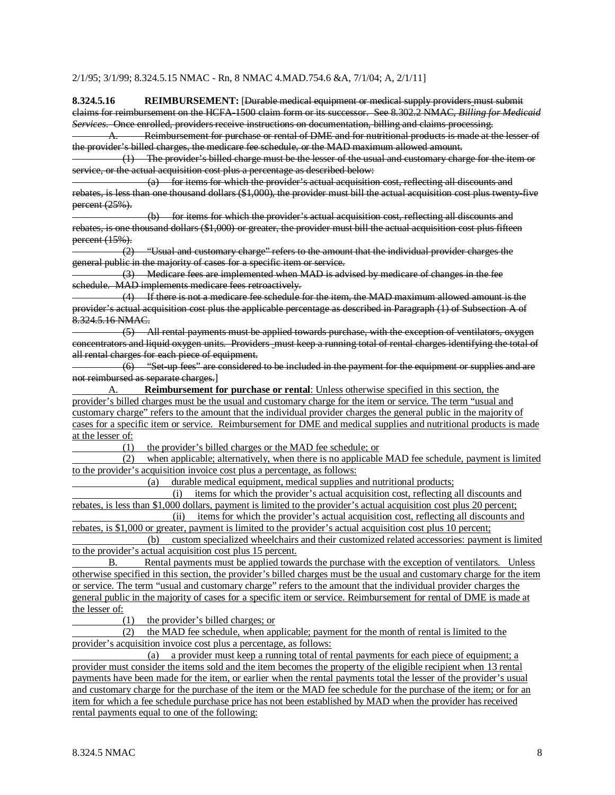#### 2/1/95; 3/1/99; 8.324.5.15 NMAC - Rn, 8 NMAC 4.MAD.754.6 &A, 7/1/04; A, 2/1/11]

**8.324.5.16 REIMBURSEMENT:** [Durable medical equipment or medical supply providers must submit claims for reimbursement on the HCFA-1500 claim form or its successor. See 8.302.2 NMAC, *Billing for Medicaid Services*. Once enrolled, providers receive instructions on documentation, billing and claims processing.

A. Reimbursement for purchase or rental of DME and for nutritional products is made at the lesser of the provider's billed charges, the medicare fee schedule, or the MAD maximum allowed amount.

 (1) The provider's billed charge must be the lesser of the usual and customary charge for the item or service, or the actual acquisition cost plus a percentage as described below:

 (a) for items for which the provider's actual acquisition cost, reflecting all discounts and rebates, is less than one thousand dollars (\$1,000), the provider must bill the actual acquisition cost plus twenty-five percent (25%).

 (b) for items for which the provider's actual acquisition cost, reflecting all discounts and rebates, is one thousand dollars (\$1,000) or greater, the provider must bill the actual acquisition cost plus fifteen percent (15%).

 (2) "Usual and customary charge" refers to the amount that the individual provider charges the general public in the majority of cases for a specific item or service.

 (3) Medicare fees are implemented when MAD is advised by medicare of changes in the fee schedule. MAD implements medicare fees retroactively.

 (4) If there is not a medicare fee schedule for the item, the MAD maximum allowed amount is the provider's actual acquisition cost plus the applicable percentage as described in Paragraph (1) of Subsection A of  $8.324.5.16$  NMAC.

 (5) All rental payments must be applied towards purchase, with the exception of ventilators, oxygen concentrators and liquid oxygen units. Providers must keep a running total of rental charges identifying the total of all rental charges for each piece of equipment.

 (6) "Set-up fees" are considered to be included in the payment for the equipment or supplies and are not reimbursed as separate charges.]

A. **Reimbursement for purchase or rental**: Unless otherwise specified in this section, the provider's billed charges must be the usual and customary charge for the item or service. The term "usual and customary charge" refers to the amount that the individual provider charges the general public in the majority of cases for a specific item or service. Reimbursement for DME and medical supplies and nutritional products is made at the lesser of:  $(1)$ 

the provider's billed charges or the MAD fee schedule; or

 (2) when applicable; alternatively, when there is no applicable MAD fee schedule, payment is limited to the provider's acquisition invoice cost plus a percentage, as follows:

(a) durable medical equipment, medical supplies and nutritional products;

 (i) items for which the provider's actual acquisition cost, reflecting all discounts and rebates, is less than \$1,000 dollars, payment is limited to the provider's actual acquisition cost plus 20 percent;

 (ii) items for which the provider's actual acquisition cost, reflecting all discounts and rebates, is \$1,000 or greater, payment is limited to the provider's actual acquisition cost plus 10 percent;

 (b) custom specialized wheelchairs and their customized related accessories: payment is limited to the provider's actual acquisition cost plus 15 percent.

B. Rental payments must be applied towards the purchase with the exception of ventilators. Unless otherwise specified in this section, the provider's billed charges must be the usual and customary charge for the item or service. The term "usual and customary charge" refers to the amount that the individual provider charges the general public in the majority of cases for a specific item or service. Reimbursement for rental of DME is made at the lesser of:

(1) the provider's billed charges; or

 (2) the MAD fee schedule, when applicable; payment for the month of rental is limited to the provider's acquisition invoice cost plus a percentage, as follows:

 (a) a provider must keep a running total of rental payments for each piece of equipment; a provider must consider the items sold and the item becomes the property of the eligible recipient when 13 rental payments have been made for the item, or earlier when the rental payments total the lesser of the provider's usual and customary charge for the purchase of the item or the MAD fee schedule for the purchase of the item; or for an item for which a fee schedule purchase price has not been established by MAD when the provider has received rental payments equal to one of the following: